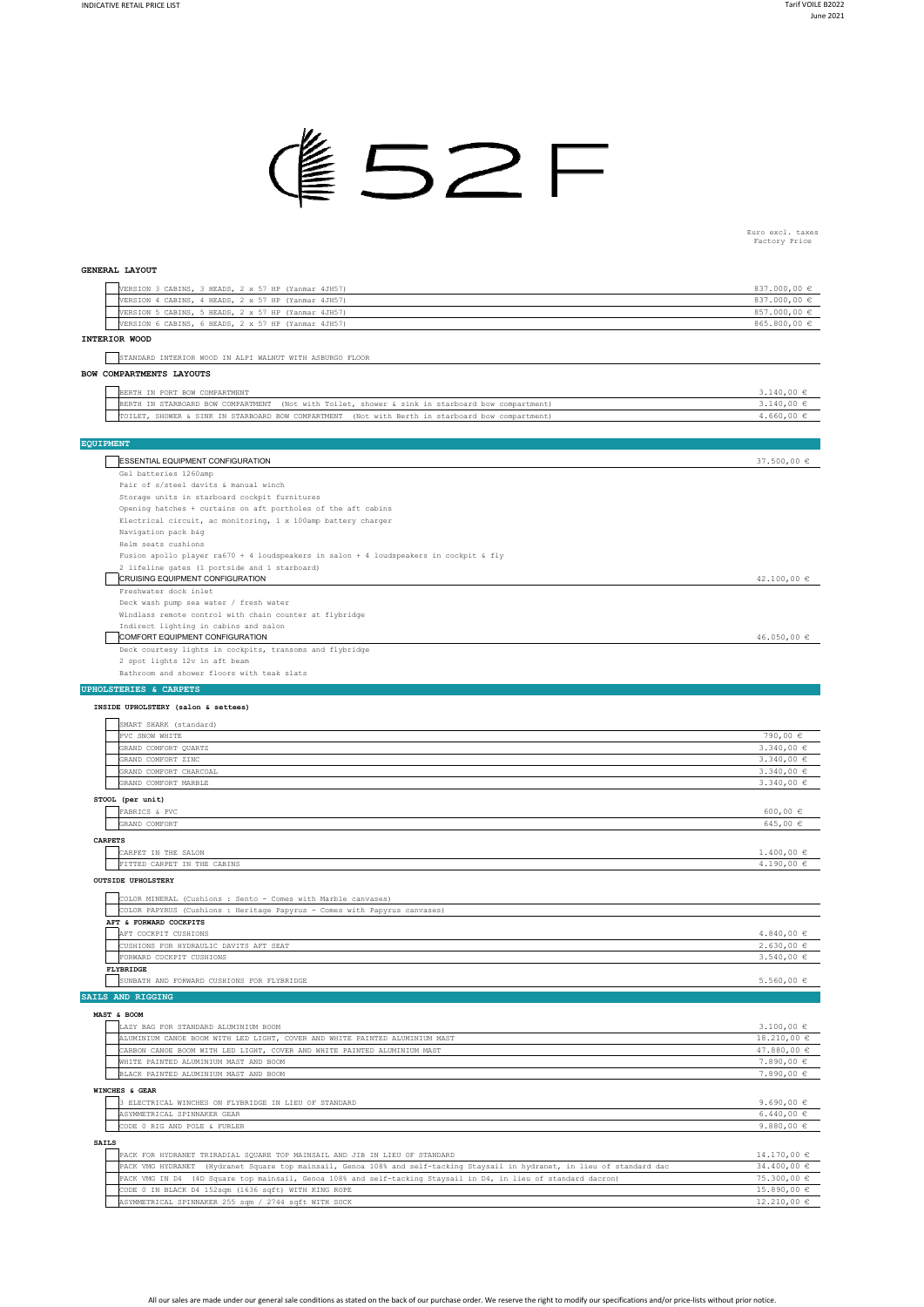

## Euro excl. taxes Factory Price

## **GENERAL LAYOUT**

| VERSION 3 CABINS, 3 HEADS, 2 x 57 HP (Yanmar 4JH57)                                                                        | 837.000,00 €    |
|----------------------------------------------------------------------------------------------------------------------------|-----------------|
| VERSION 4 CABINS, 4 HEADS, 2 x 57 HP (Yanmar 4JH57)                                                                        | 837.000,00 €    |
| VERSION 5 CABINS, 5 HEADS, 2 x 57 HP (Yanmar 4JH57)                                                                        | 857.000,00 €    |
| VERSION 6 CABINS, 6 HEADS, 2 x 57 HP (Yanmar 4JH57)                                                                        | 865.800,00 €    |
| INTERIOR WOOD                                                                                                              |                 |
|                                                                                                                            |                 |
| STANDARD INTERIOR WOOD IN ALPI WALNUT WITH ASBURGO FLOOR                                                                   |                 |
|                                                                                                                            |                 |
| BOW COMPARTMENTS LAYOUTS                                                                                                   |                 |
|                                                                                                                            |                 |
| BERTH IN PORT BOW COMPARTMENT                                                                                              | $3.140,00 \in$  |
| BERTH IN STARBOARD BOW COMPARTMENT (Not with Toilet, shower & sink in starboard bow compartment)                           | $3.140,00 \in$  |
| TOILET, SHOWER & SINK IN STARBOARD BOW COMPARTMENT (Not with Berth in starboard bow compartment)                           | $4.660,00 \in$  |
|                                                                                                                            |                 |
|                                                                                                                            |                 |
| <b>EQUIPMENT</b>                                                                                                           |                 |
|                                                                                                                            |                 |
| <b>ESSENTIAL EQUIPMENT CONFIGURATION</b>                                                                                   | 37.500,00 €     |
| Gel batteries 1260amp                                                                                                      |                 |
| Pair of s/steel davits & manual winch                                                                                      |                 |
| Storage units in starboard cockpit furnitures                                                                              |                 |
| Opening hatches + curtains on aft portholes of the aft cabins                                                              |                 |
| Electrical circuit, ac monitoring, 1 x 100amp battery charger                                                              |                 |
|                                                                                                                            |                 |
| Navigation pack b&g                                                                                                        |                 |
| Helm seats cushions                                                                                                        |                 |
| Fusion apollo player ra670 + 4 loudspeakers in salon + 4 loudspeakers in cockpit & fly                                     |                 |
| 2 lifeline gates (1 portside and 1 starboard)                                                                              |                 |
| CRUISING EQUIPMENT CONFIGURATION                                                                                           | $42.100,00 \in$ |
| Freshwater dock inlet                                                                                                      |                 |
|                                                                                                                            |                 |
| Deck wash pump sea water / fresh water                                                                                     |                 |
| Windlass remote control with chain counter at flybridge                                                                    |                 |
| Indirect lighting in cabins and salon                                                                                      |                 |
| COMFORT EQUIPMENT CONFIGURATION                                                                                            | 46.050,00 €     |
| Deck courtesy lights in cockpits, transoms and flybridge                                                                   |                 |
| 2 spot lights 12v in aft beam                                                                                              |                 |
|                                                                                                                            |                 |
| Bathroom and shower floors with teak slats                                                                                 |                 |
| <b>UPHOLSTERIES &amp; CARPETS</b>                                                                                          |                 |
|                                                                                                                            |                 |
| INSIDE UPHOLSTERY (salon & settees)                                                                                        |                 |
|                                                                                                                            |                 |
| SMART SHARK (standard)                                                                                                     |                 |
| PVC SNOW WHITE                                                                                                             | 790,00 €        |
| GRAND COMFORT QUARTZ                                                                                                       | 3.340,00 €      |
| GRAND COMFORT ZINC                                                                                                         | $3.340,00 \in$  |
| GRAND COMFORT CHARCOAL                                                                                                     | 3.340,00 €      |
|                                                                                                                            |                 |
| GRAND COMFORT MARBLE                                                                                                       | 3.340,00 €      |
| STOOL (per unit)                                                                                                           |                 |
|                                                                                                                            |                 |
| FABRICS & PVC                                                                                                              | 600,00 $\in$    |
| GRAND COMFORT                                                                                                              | 645,00€         |
| <b>CARPETS</b>                                                                                                             |                 |
|                                                                                                                            |                 |
| CARPET IN THE SALON                                                                                                        | $1.400,00 \in$  |
| FITTED CARPET IN THE CABINS                                                                                                | $4.190,00 \in$  |
| <b>OUTSIDE UPHOLSTERY</b>                                                                                                  |                 |
|                                                                                                                            |                 |
| COLOR MINERAL (Cushions : Sento - Comes with Marble canvases)                                                              |                 |
| COLOR PAPYRUS (Cushions : Heritage Papyrus - Comes with Papyrus canvases)                                                  |                 |
|                                                                                                                            |                 |
| AFT & FORWARD COCKPITS                                                                                                     |                 |
| AFT COCKPIT CUSHIONS                                                                                                       | $4.840,00 \in$  |
| CUSHIONS FOR HYDRAULIC DAVITS AFT SEAT                                                                                     | 2.630,00€       |
| FORWARD COCKPIT CUSHIONS                                                                                                   | $3.540,00 \in$  |
| FLYBRIDGE                                                                                                                  |                 |
| SUNBATH AND FORWARD CUSHIONS FOR FLYBRIDGE                                                                                 | $5.560,00 \in$  |
|                                                                                                                            |                 |
| SAILS AND RIGGING                                                                                                          |                 |
|                                                                                                                            |                 |
| MAST & BOOM                                                                                                                |                 |
| LAZY BAG FOR STANDARD ALUMINIUM BOOM                                                                                       | $3.100,00 \in$  |
| ALUMINIUM CANOE BOOM WITH LED LIGHT, COVER AND WHITE PAINTED ALUMINIUM MAST                                                | $18.210,00 \in$ |
| CARBON CANOE BOOM WITH LED LIGHT, COVER AND WHITE PAINTED ALUMINIUM MAST                                                   | 47.880,00 $\in$ |
|                                                                                                                            |                 |
| WHITE PAINTED ALUMINIUM MAST AND BOOM                                                                                      | $7.890,00 \in$  |
| BLACK PAINTED ALUMINIUM MAST AND BOOM                                                                                      | 7.890,00 €      |
| WINCHES & GEAR                                                                                                             |                 |
|                                                                                                                            |                 |
| 3 ELECTRICAL WINCHES ON FLYBRIDGE IN LIEU OF STANDARD                                                                      | 9.690,00 $\in$  |
| ASYMMETRICAL SPINNAKER GEAR                                                                                                | 6.440,00 $\in$  |
| CODE 0 RIG AND POLE & FURLER                                                                                               | 9.880,00 $\in$  |
|                                                                                                                            |                 |
| <b>SAILS</b>                                                                                                               |                 |
| PACK FOR HYDRANET TRIRADIAL SQUARE TOP MAINSAIL AND JIB IN LIEU OF STANDARD                                                | $14.170,00 \in$ |
| PACK VMG HYDRANET (Hydranet Square top mainsail, Genoa 108% and self-tacking Staysail in hydranet, in lieu of standard dac | 34.400,00 $\in$ |
|                                                                                                                            |                 |
| PACK VMG IN D4 (4D Square top mainsail, Genoa 108% and self-tacking Staysail in D4, in lieu of standard dacron)            | $75.300,00 \in$ |
| CODE 0 IN BLACK D4 152sqm (1636 sqft) WITH KING ROPE                                                                       | $15.890,00 \in$ |
| ASYMMETRICAL SPINNAKER 255 sqm / 2744 sqft WITH SOCK                                                                       | $12.210,00 \in$ |

All our sales are made under our general sale conditions as stated on the back of our purchase order. We reserve the right to modify our specifications and/or price-lists without prior notice.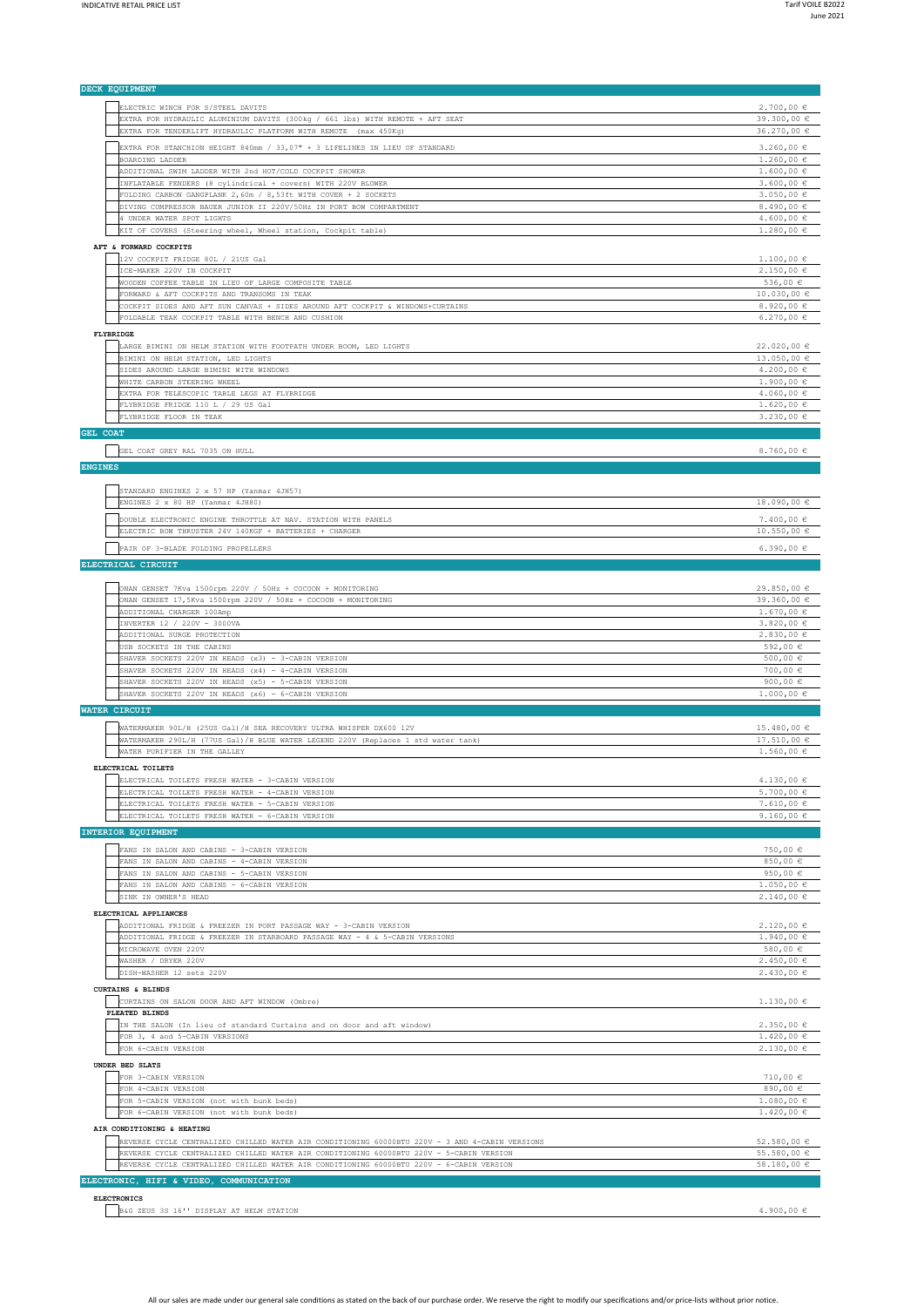| DECK EQUIPMENT                                                                                  |                         |
|-------------------------------------------------------------------------------------------------|-------------------------|
|                                                                                                 |                         |
| ELECTRIC WINCH FOR S/STEEL DAVITS                                                               | $2.700,00 \in$          |
| EXTRA FOR HYDRAULIC ALUMINIUM DAVITS (300kg / 661 lbs) WITH REMOTE + AFT SEAT                   | 39.300,00 $\in$         |
| EXTRA FOR TENDERLIFT HYDRAULIC PLATFORM WITH REMOTE (max 450Kg)                                 | 36.270,00 €             |
|                                                                                                 |                         |
| EXTRA FOR STANCHION HEIGHT 840mm / 33,07" + 3 LIFELINES IN LIEU OF STANDARD                     | $3.260,00 \in$          |
| BOARDING LADDER                                                                                 | $1.260,00 \in$          |
| ADDITIONAL SWIM LADDER WITH 2nd HOT/COLD COCKPIT SHOWER                                         | $1.600,00 \in$          |
| INFLATABLE FENDERS (8 cylindrical + covers) WITH 220V BLOWER                                    | $3.600,00 \in$          |
|                                                                                                 |                         |
| FOLDING CARBON GANGPLANK 2,60m / 8,53ft WITH COVER + 2 SOCKETS                                  | $3.050,00 \in$          |
| DIVING COMPRESSOR BAUER JUNIOR II 220V/50Hz IN PORT BOW COMPARTMENT                             | 8.490,00 $\in$          |
| 4 UNDER WATER SPOT LIGHTS                                                                       | 4.600,00 $\in$          |
| KIT OF COVERS (Steering wheel, Wheel station, Cockpit table)                                    | $1.280,00 \in$          |
|                                                                                                 |                         |
| AFT & FORWARD COCKPITS                                                                          |                         |
| 12V COCKPIT FRIDGE 80L / 21US Gal                                                               | $1.100,00 \in$          |
|                                                                                                 |                         |
| ICE-MAKER 220V IN COCKPIT                                                                       | 2.150,00€               |
| WOODEN COFFEE TABLE IN LIEU OF LARGE COMPOSITE TABLE                                            | 536,00 €                |
| FORWARD & AFT COCKPITS AND TRANSOMS IN TEAK                                                     | $10.030,00 \in$         |
| COCKPIT SIDES AND AFT SUN CANVAS + SIDES AROUND AFT COCKPIT & WINDOWS+CURTAINS                  | 8.920,00 $\in$          |
|                                                                                                 |                         |
| FOLDABLE TEAK COCKPIT TABLE WITH BENCH AND CUSHION                                              | $6.270,00 \in$          |
| FLYBRIDGE                                                                                       |                         |
|                                                                                                 |                         |
| LARGE BIMINI ON HELM STATION WITH FOOTPATH UNDER BOOM, LED LIGHTS                               | 22.020,00€              |
| BIMINI ON HELM STATION, LED LIGHTS                                                              | $13.050,00 \in$         |
|                                                                                                 | 4.200,00 $\in$          |
| SIDES AROUND LARGE BIMINI WITH WINDOWS                                                          |                         |
| WHITE CARBON STEERING WHEEL                                                                     | $1.900,00 \in$          |
| EXTRA FOR TELESCOPIC TABLE LEGS AT FLYBRIDGE                                                    | $4.060,00 \in$          |
| FLYBRIDGE FRIDGE 110 L / 29 US Gal                                                              | $1.620,00 \in$          |
|                                                                                                 |                         |
| FLYBRIDGE FLOOR IN TEAK                                                                         | $3.230,00 \in$          |
| <b>GEL COAT</b>                                                                                 |                         |
|                                                                                                 |                         |
|                                                                                                 | 8.760,00 $\in$          |
| GEL COAT GREY RAL 7035 ON HULL                                                                  |                         |
| <b>ENGINES</b>                                                                                  |                         |
|                                                                                                 |                         |
|                                                                                                 |                         |
| STANDARD ENGINES 2 x 57 HP (Yanmar 4JH57)                                                       |                         |
| ENGINES 2 x 80 HP (Yanmar 4JH80)                                                                | $18.090,00 \in$         |
|                                                                                                 |                         |
| DOUBLE ELECTRONIC ENGINE THROTTLE AT NAV. STATION WITH PANELS                                   | $7.400,00 \in$          |
| ELECTRIC BOW THRUSTER 24V 140KGF + BATTERIES + CHARGER                                          | $10.550,00 \in$         |
|                                                                                                 |                         |
| PAIR OF 3-BLADE FOLDING PROPELLERS                                                              | $6.390,00 \in$          |
|                                                                                                 |                         |
| ELECTRICAL CIRCUIT                                                                              |                         |
|                                                                                                 |                         |
|                                                                                                 |                         |
| ONAN GENSET 7Kva 1500rpm 220V / 50Hz + COCOON + MONITORING                                      | $29.850,00 \in$         |
| ONAN GENSET 17,5Kva 1500rpm 220V / 50Hz + COCOON + MONITORING                                   | 39.360,00 €             |
| ADDITIONAL CHARGER 100Amp                                                                       | $1.670,00 \in$          |
|                                                                                                 |                         |
| INVERTER 12 / 220V - 3000VA                                                                     | $3.820,00 \in$          |
| ADDITIONAL SURGE PROTECTION                                                                     | 2.830,00€               |
| USB SOCKETS IN THE CABINS                                                                       | 592,00 €                |
|                                                                                                 |                         |
|                                                                                                 |                         |
| SHAVER SOCKETS 220V IN HEADS (x3) - 3-CABIN VERSION                                             | 500,00 €                |
| SHAVER SOCKETS 220V IN HEADS (x4) - 4-CABIN VERSION                                             | 700,00 €                |
| SHAVER SOCKETS 220V IN HEADS (x5) - 5-CABIN VERSION                                             | 900,00 $\in$            |
|                                                                                                 | $1.000,00 \in$          |
| SHAVER SOCKETS 220V IN HEADS (x6) - 6-CABIN VERSION                                             |                         |
| <b>WATER CIRCUIT</b>                                                                            |                         |
|                                                                                                 |                         |
| WATERMAKER 90L/H (25US Gal)/H SEA RECOVERY ULTRA WHISPER DX600 12V                              | 15.480,00€              |
|                                                                                                 |                         |
| WATERMAKER 290L/H (77US Gal)/H BLUE WATER LEGEND 220V (Replaces 1 std water tank)               | $17.510,00 \in$         |
| WATER PURIFIER IN THE GALLEY                                                                    | $1.560,00 \in$          |
|                                                                                                 |                         |
| ELECTRICAL TOILETS                                                                              |                         |
| ELECTRICAL TOILETS FRESH WATER - 3-CABIN VERSION                                                | $4.130.00 \text{ } \in$ |
| ELECTRICAL TOILETS FRESH WATER - 4-CABIN VERSION                                                | $5.700,00 \in$          |
|                                                                                                 |                         |
| ELECTRICAL TOILETS FRESH WATER - 5-CABIN VERSION                                                | $7.610,00 \in$          |
| ELECTRICAL TOILETS FRESH WATER - 6-CABIN VERSION                                                | 9.160,00 $\in$          |
|                                                                                                 |                         |
| INTERIOR EQUIPMENT                                                                              |                         |
|                                                                                                 |                         |
| FANS IN SALON AND CABINS - 3-CABIN VERSION                                                      | 750,00 €                |
| FANS IN SALON AND CABINS - 4-CABIN VERSION                                                      | 850,00 €                |
| FANS IN SALON AND CABINS - 5-CABIN VERSION                                                      | 950,00 €                |
| FANS IN SALON AND CABINS - 6-CABIN VERSION                                                      | $1.050,00 \in$          |
|                                                                                                 |                         |
| SINK IN OWNER'S HEAD                                                                            | 2.140,00€               |
|                                                                                                 |                         |
| ELECTRICAL APPLIANCES                                                                           |                         |
| ADDITIONAL FRIDGE & FREEZER IN PORT PASSAGE WAY - 3-CABIN VERSION                               | 2.120,00€               |
| ADDITIONAL FRIDGE & FREEZER IN STARBOARD PASSAGE WAY - 4 & 5-CABIN VERSIONS                     | $1.940,00 \in$          |
|                                                                                                 |                         |
| MICROWAVE OVEN 220V                                                                             | 580,00 €                |
| WASHER / DRYER 220V                                                                             | 2.450,00€               |
| DISH-WASHER 12 sets 220V                                                                        | 2.430,00€               |
|                                                                                                 |                         |
| <b>CURTAINS &amp; BLINDS</b>                                                                    |                         |
| CURTAINS ON SALON DOOR AND AFT WINDOW (Ombre)                                                   | $1.130,00 \in$          |
|                                                                                                 |                         |
| PLEATED BLINDS                                                                                  |                         |
| IN THE SALON (In lieu of standard Curtains and on door and aft window)                          | 2.350,00€               |
| FOR 3, 4 and 5-CABIN VERSIONS                                                                   | 1.420,00€               |
|                                                                                                 |                         |
| FOR 6-CABIN VERSION                                                                             | $2.130,00 \in$          |
| UNDER BED SLATS                                                                                 |                         |
|                                                                                                 |                         |
| FOR 3-CABIN VERSION                                                                             | 710,00 $\in$            |
| FOR 4-CABIN VERSION                                                                             | 890,00 €                |
| FOR 5-CABIN VERSION (not with bunk beds)                                                        | $1.080,00 \in$          |
|                                                                                                 |                         |
| FOR 6-CABIN VERSION (not with bunk beds)                                                        | 1.420,00€               |
|                                                                                                 |                         |
| AIR CONDITIONING & HEATING                                                                      |                         |
| REVERSE CYCLE CENTRALIZED CHILLED WATER AIR CONDITIONING 60000BTU 220V - 3 AND 4-CABIN VERSIONS | 52.580,00 €             |
| REVERSE CYCLE CENTRALIZED CHILLED WATER AIR CONDITIONING 60000BTU 220V - 5-CABIN VERSION        | 55.580,00 €             |
|                                                                                                 |                         |
| REVERSE CYCLE CENTRALIZED CHILLED WATER AIR CONDITIONING 60000BTU 220V - 6-CABIN VERSION        | 58.180,00 €             |
| ELECTRONIC, HIFI & VIDEO, COMMUNICATION                                                         |                         |
|                                                                                                 |                         |
| <b>ELECTRONICS</b>                                                                              |                         |